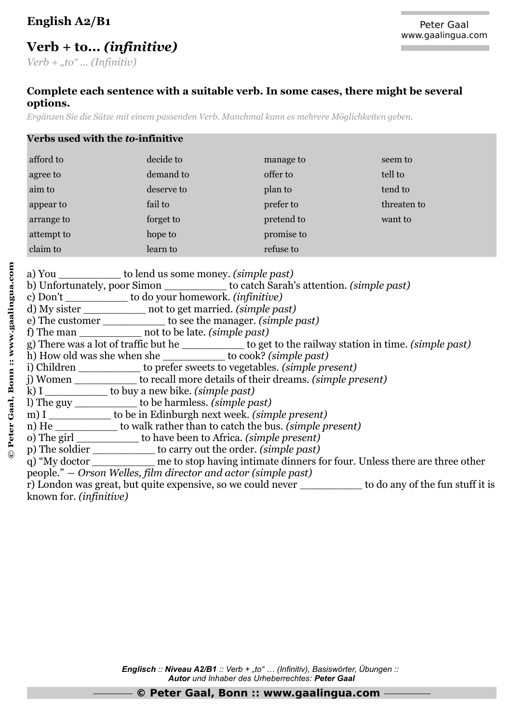## **English A2/B1**

## **Verb + to...** *(infinitive)*

*Verb + "to" ... (Infinitiv)*

## **Complete each sentence with a suitable verb. In some cases, there might be several options.**

*Ergänzen Sie die Sätze mit einem passenden Verb. Manchmal kann es mehrere Möglichkeiten geben.*

| Verbs used with the to-infinitive |            |            |             |  |  |
|-----------------------------------|------------|------------|-------------|--|--|
| afford to                         | decide to  | manage to  | seem to     |  |  |
| agree to                          | demand to  | offer to   | tell to     |  |  |
| aim to                            | deserve to | plan to    | tend to     |  |  |
| appear to                         | fail to    | prefer to  | threaten to |  |  |
| arrange to                        | forget to  | pretend to | want to     |  |  |
| attempt to                        | hope to    | promise to |             |  |  |
| claim to                          | learn to   | refuse to  |             |  |  |

**©**

| attempt to a statement of the statement of the statement of the statement of the statement of the statement of the statement of the statement of the statement of the statement of the statement of the statement of the state |                                                                  | hope to be promise to                                                                |                                                                                                          |  |
|--------------------------------------------------------------------------------------------------------------------------------------------------------------------------------------------------------------------------------|------------------------------------------------------------------|--------------------------------------------------------------------------------------|----------------------------------------------------------------------------------------------------------|--|
| claim to the contract of the contract of the contract of the contract of the contract of the contract of the contract of the contract of the contract of the contract of the contract of the contract of the contract of the c |                                                                  | learn to refuse to                                                                   |                                                                                                          |  |
|                                                                                                                                                                                                                                |                                                                  |                                                                                      |                                                                                                          |  |
|                                                                                                                                                                                                                                | a) You _____________ to lend us some money. <i>(simple past)</i> |                                                                                      |                                                                                                          |  |
|                                                                                                                                                                                                                                |                                                                  | b) Unfortunately, poor Simon _____________ to catch Sarah's attention. (simple past) |                                                                                                          |  |
|                                                                                                                                                                                                                                | c) Don't _____________ to do your homework. (infinitive)         |                                                                                      |                                                                                                          |  |
|                                                                                                                                                                                                                                | d) My sister _____________ not to get married. (simple past)     |                                                                                      |                                                                                                          |  |
|                                                                                                                                                                                                                                |                                                                  | e) The customer _____________ to see the manager. (simple past)                      |                                                                                                          |  |
|                                                                                                                                                                                                                                | f) The man ______________ not to be late. (simple past)          |                                                                                      |                                                                                                          |  |
|                                                                                                                                                                                                                                |                                                                  |                                                                                      | g) There was a lot of traffic but he ___________ to get to the railway station in time. (simple past)    |  |
|                                                                                                                                                                                                                                |                                                                  | h) How old was she when she _____________ to cook? (simple past)                     |                                                                                                          |  |
|                                                                                                                                                                                                                                |                                                                  | i) Children _____________ to prefer sweets to vegetables. (simple present)           |                                                                                                          |  |
|                                                                                                                                                                                                                                |                                                                  | j) Women _____________ to recall more details of their dreams. (simple present)      |                                                                                                          |  |
|                                                                                                                                                                                                                                | k) I _____________ to buy a new bike. (simple past)              |                                                                                      |                                                                                                          |  |
|                                                                                                                                                                                                                                | I) The guy _____________ to be harmless. <i>(simple past)</i>    |                                                                                      |                                                                                                          |  |
|                                                                                                                                                                                                                                |                                                                  | m) I ____________ to be in Edinburgh next week. (simple present)                     |                                                                                                          |  |
|                                                                                                                                                                                                                                |                                                                  | n) He _____________ to walk rather than to catch the bus. (simple present)           |                                                                                                          |  |
|                                                                                                                                                                                                                                |                                                                  | o) The girl _____________ to have been to Africa. (simple present)                   |                                                                                                          |  |
|                                                                                                                                                                                                                                |                                                                  | p) The soldier ____________ to carry out the order. <i>(simple past)</i>             |                                                                                                          |  |
|                                                                                                                                                                                                                                |                                                                  |                                                                                      | q) "My doctor _____________ me to stop having intimate dinners for four. Unless there are three other    |  |
| people." — Orson Welles, film director and actor (simple past)                                                                                                                                                                 |                                                                  |                                                                                      |                                                                                                          |  |
|                                                                                                                                                                                                                                |                                                                  |                                                                                      | r) London was great, but quite expensive, so we could never ___________ to do any of the fun stuff it is |  |
|                                                                                                                                                                                                                                |                                                                  |                                                                                      |                                                                                                          |  |

known for. *(infinitive)*

*Englisch :: Niveau A2/B1 :: Verb + "to" … (Infinitiv), Basiswörter, Übungen :: Autor und Inhaber des Urheberrechtes: Peter Gaal*